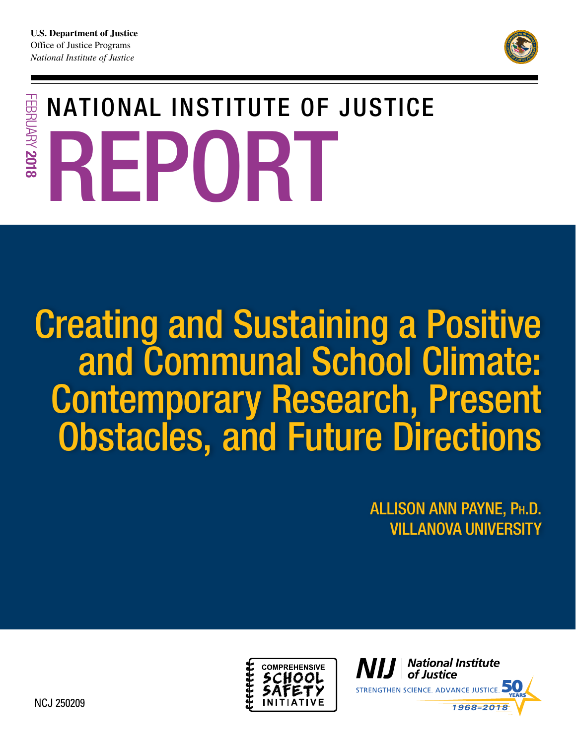

# NATIONAL INSTITUTE OF JUSTICE FEBRUARY 2018 FEBRUARY 2018 R EPORT

# Creating and Sustaining a Positive and Communal School Climate: Contemporary Research, Present Obstacles, and Future Directions

ALLISON ANN PAYNE, PH.D. VILLANOVA UNIVERSITY



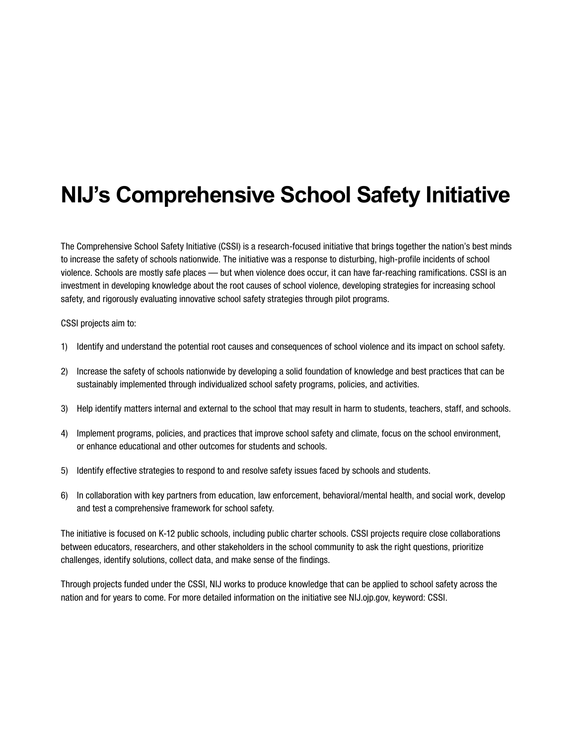# **NIJ's Comprehensive School Safety Initiative**

The Comprehensive School Safety Initiative (CSSI) is a research-focused initiative that brings together the nation's best minds to increase the safety of schools nationwide. The initiative was a response to disturbing, high-profile incidents of school violence. Schools are mostly safe places — but when violence does occur, it can have far-reaching ramifications. CSSI is an investment in developing knowledge about the root causes of school violence, developing strategies for increasing school safety, and rigorously evaluating innovative school safety strategies through pilot programs.

CSSI projects aim to:

- 1) Identify and understand the potential root causes and consequences of school violence and its impact on school safety.
- 2) Increase the safety of schools nationwide by developing a solid foundation of knowledge and best practices that can be sustainably implemented through individualized school safety programs, policies, and activities.
- 3) Help identify matters internal and external to the school that may result in harm to students, teachers, staff, and schools.
- 4) Implement programs, policies, and practices that improve school safety and climate, focus on the school environment, or enhance educational and other outcomes for students and schools.
- 5) Identify effective strategies to respond to and resolve safety issues faced by schools and students.
- 6) In collaboration with key partners from education, law enforcement, behavioral/mental health, and social work, develop and test a comprehensive framework for school safety.

The initiative is focused on K-12 public schools, including public charter schools. CSSI projects require close collaborations between educators, researchers, and other stakeholders in the school community to ask the right questions, prioritize challenges, identify solutions, collect data, and make sense of the findings.

Through projects funded under the CSSI, NIJ works to produce knowledge that can be applied to school safety across the nation and for years to come. For more detailed information on the initiative see [NIJ.ojp.gov](http://NIJ.ojp.gov)[,](http://NIJ.gov) keyword: CSSI.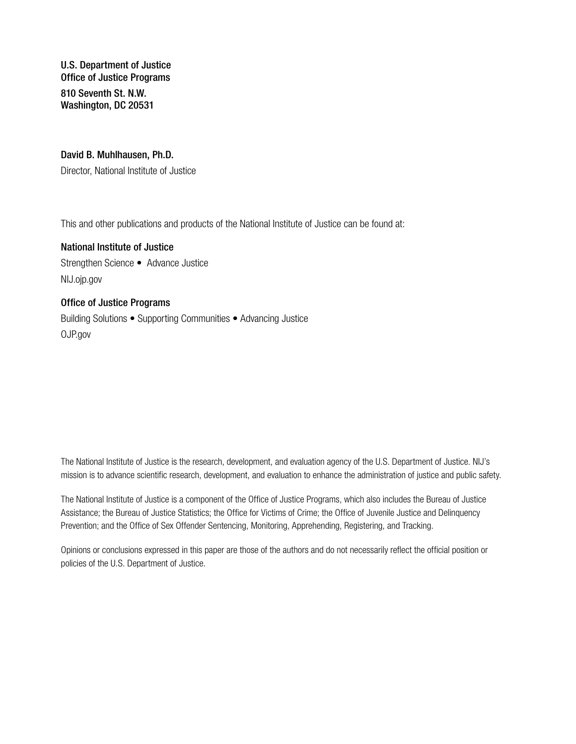U.S. Department of Justice Office of Justice Programs 810 Seventh St. N.W. Washington, DC 20531

#### David B. Muhlhausen, Ph.D.

Director, National Institute of Justice

This and other publications and products of the National Institute of Justice can be found at:

National Institute of Justice Strengthen Science • Advance Justice [NIJ.ojp.gov](https://NIJ.ojp.gov) 

#### Office of Justice Programs

Building Solutions • Supporting Communities • Advancing Justice [OJP.gov](https://www.ojp.gov) 

The National Institute of Justice is the research, development, and evaluation agency of the U.S. Department of Justice. NIJ's mission is to advance scientific research, development, and evaluation to enhance the administration of justice and public safety.

The National Institute of Justice is a component of the Office of Justice Programs, which also includes the Bureau of Justice Assistance; the Bureau of Justice Statistics; the Office for Victims of Crime; the Office of Juvenile Justice and Delinquency Prevention; and the Office of Sex Offender Sentencing, Monitoring, Apprehending, Registering, and Tracking.

Opinions or conclusions expressed in this paper are those of the authors and do not necessarily reflect the official position or policies of the U.S. Department of Justice.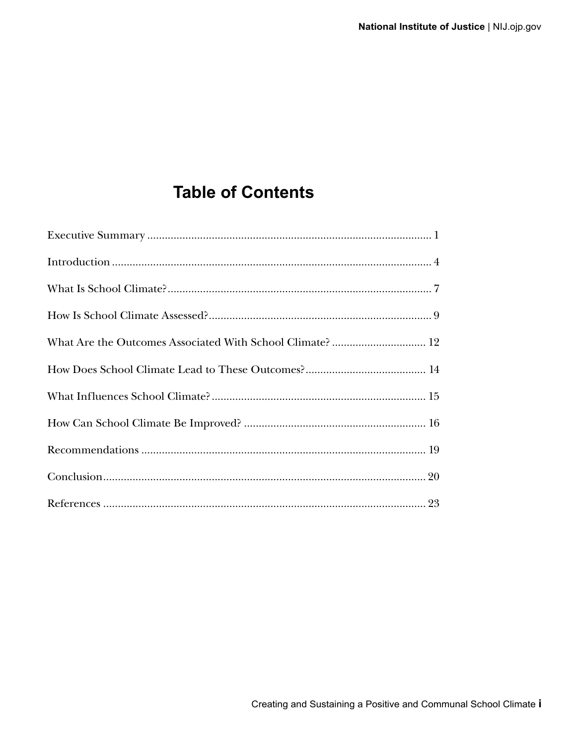### **Table of Contents**

| What Are the Outcomes Associated With School Climate?  12 |
|-----------------------------------------------------------|
|                                                           |
|                                                           |
|                                                           |
|                                                           |
|                                                           |
|                                                           |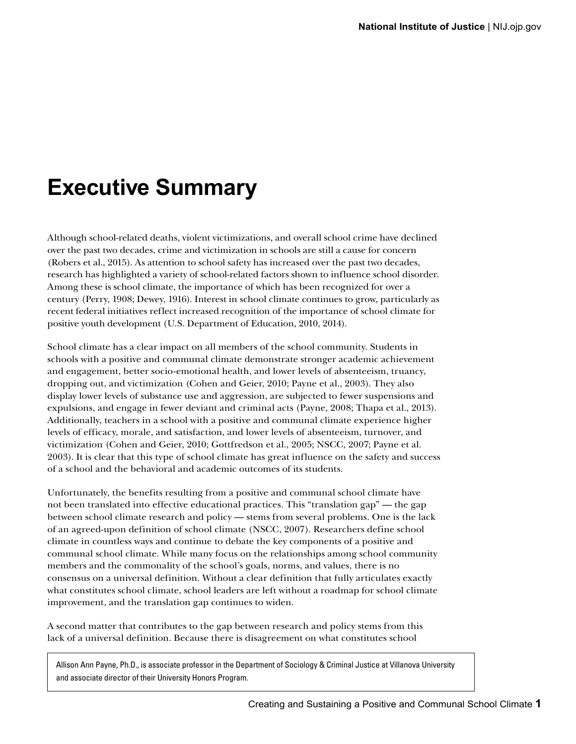# **Executive Summary**

Although school-related deaths, violent victimizations, and overall school crime have declined over the past two decades, crime and victimization in schools are still a cause for concern (Robers et al., 2015). As attention to school safety has increased over the past two decades, research has highlighted a variety of school-related factors shown to influence school disorder. Among these is school climate, the importance of which has been recognized for over a century (Perry, 1908; Dewey, 1916). Interest in school climate continues to grow, particularly as recent federal initiatives reflect increased recognition of the importance of school climate for positive youth development (U.S. Department of Education, 2010, 2014).

School climate has a clear impact on all members of the school community. Students in schools with a positive and communal climate demonstrate stronger academic achievement and engagement, better socio-emotional health, and lower levels of absenteeism, truancy, dropping out, and victimization (Cohen and Geier, 2010; Payne et al., 2003). They also display lower levels of substance use and aggression, are subjected to fewer suspensions and expulsions, and engage in fewer deviant and criminal acts (Payne, 2008; Thapa et al., 2013). Additionally, teachers in a school with a positive and communal climate experience higher levels of efficacy, morale, and satisfaction, and lower levels of absenteeism, turnover, and victimization (Cohen and Geier, 2010; Gottfredson et al., 2005; NSCC, 2007; Payne et al. 2003). It is clear that this type of school climate has great influence on the safety and success of a school and the behavioral and academic outcomes of its students.

Unfortunately, the benefits resulting from a positive and communal school climate have not been translated into effective educational practices. This "translation gap" — the gap between school climate research and policy — stems from several problems. One is the lack of an agreed-upon definition of school climate (NSCC, 2007). Researchers define school climate in countless ways and continue to debate the key components of a positive and communal school climate. While many focus on the relationships among school community members and the commonality of the school's goals, norms, and values, there is no consensus on a universal definition. Without a clear definition that fully articulates exactly what constitutes school climate, school leaders are left without a roadmap for school climate improvement, and the translation gap continues to widen.

A second matter that contributes to the gap between research and policy stems from this lack of a universal definition. Because there is disagreement on what constitutes school

Allison Ann Payne, Ph.D., is associate professor in the Department of Sociology & Criminal Justice at Villanova University and associate director of their University Honors Program.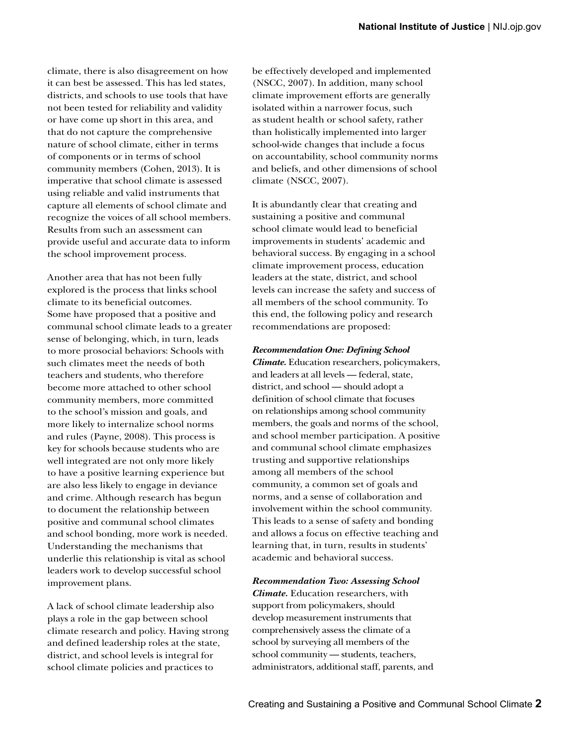climate, there is also disagreement on how it can best be assessed. This has led states, districts, and schools to use tools that have not been tested for reliability and validity or have come up short in this area, and that do not capture the comprehensive nature of school climate, either in terms of components or in terms of school community members (Cohen, 2013). It is imperative that school climate is assessed using reliable and valid instruments that capture all elements of school climate and recognize the voices of all school members. Results from such an assessment can provide useful and accurate data to inform the school improvement process.

Another area that has not been fully explored is the process that links school climate to its beneficial outcomes. Some have proposed that a positive and communal school climate leads to a greater sense of belonging, which, in turn, leads to more prosocial behaviors: Schools with such climates meet the needs of both teachers and students, who therefore become more attached to other school community members, more committed to the school's mission and goals, and more likely to internalize school norms and rules (Payne, 2008). This process is key for schools because students who are well integrated are not only more likely to have a positive learning experience but are also less likely to engage in deviance and crime. Although research has begun to document the relationship between positive and communal school climates and school bonding, more work is needed. Understanding the mechanisms that underlie this relationship is vital as school leaders work to develop successful school improvement plans.

A lack of school climate leadership also plays a role in the gap between school climate research and policy. Having strong and defined leadership roles at the state, district, and school levels is integral for school climate policies and practices to

be effectively developed and implemented (NSCC, 2007). In addition, many school climate improvement efforts are generally isolated within a narrower focus, such as student health or school safety, rather than holistically implemented into larger school-wide changes that include a focus on accountability, school community norms and beliefs, and other dimensions of school climate (NSCC, 2007).

It is abundantly clear that creating and sustaining a positive and communal school climate would lead to beneficial improvements in students' academic and behavioral success. By engaging in a school climate improvement process, education leaders at the state, district, and school levels can increase the safety and success of all members of the school community. To this end, the following policy and research recommendations are proposed:

#### *Recommendation One: Defining School*

*Climate.* Education researchers, policymakers, and leaders at all levels — federal, state, district, and school — should adopt a definition of school climate that focuses on relationships among school community members, the goals and norms of the school, and school member participation. A positive and communal school climate emphasizes trusting and supportive relationships among all members of the school community, a common set of goals and norms, and a sense of collaboration and involvement within the school community. This leads to a sense of safety and bonding and allows a focus on effective teaching and learning that, in turn, results in students' academic and behavioral success.

#### *Recommendation Two: Assessing School*

*Climate.* Education researchers, with support from policymakers, should develop measurement instruments that comprehensively assess the climate of a school by surveying all members of the school community — students, teachers, administrators, additional staff, parents, and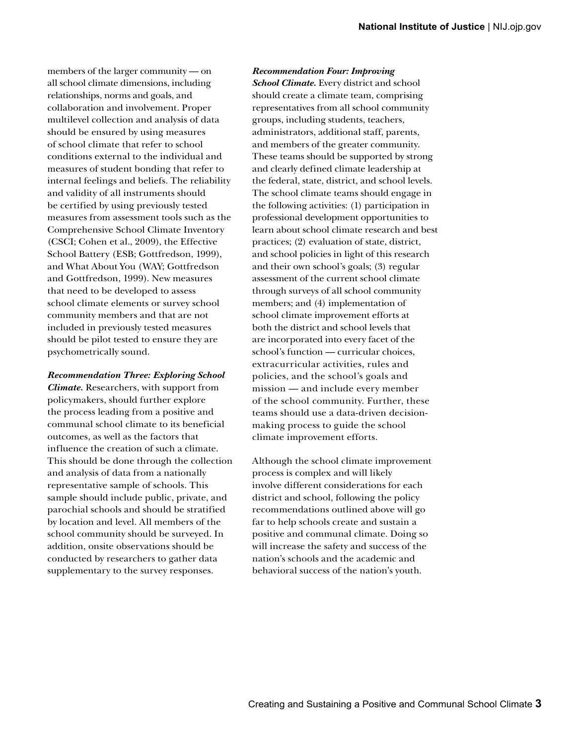members of the larger community — on all school climate dimensions, including relationships, norms and goals, and collaboration and involvement. Proper multilevel collection and analysis of data should be ensured by using measures of school climate that refer to school conditions external to the individual and measures of student bonding that refer to internal feelings and beliefs. The reliability and validity of all instruments should be certified by using previously tested measures from assessment tools such as the Comprehensive School Climate Inventory (CSCI; Cohen et al., 2009), the Effective School Battery (ESB; Gottfredson, 1999), and What About You (WAY; Gottfredson and Gottfredson, 1999). New measures that need to be developed to assess school climate elements or survey school community members and that are not included in previously tested measures should be pilot tested to ensure they are psychometrically sound.

*Recommendation Three: Exploring School Climate.* Researchers, with support from policymakers, should further explore the process leading from a positive and communal school climate to its beneficial outcomes, as well as the factors that influence the creation of such a climate. This should be done through the collection and analysis of data from a nationally representative sample of schools. This sample should include public, private, and parochial schools and should be stratified by location and level. All members of the school community should be surveyed. In addition, onsite observations should be conducted by researchers to gather data supplementary to the survey responses.

#### *Recommendation Four: Improving*

*School Climate.* Every district and school should create a climate team, comprising representatives from all school community groups, including students, teachers, administrators, additional staff, parents, and members of the greater community. These teams should be supported by strong and clearly defined climate leadership at the federal, state, district, and school levels. The school climate teams should engage in the following activities: (1) participation in professional development opportunities to learn about school climate research and best practices; (2) evaluation of state, district, and school policies in light of this research and their own school's goals; (3) regular assessment of the current school climate through surveys of all school community members; and (4) implementation of school climate improvement efforts at both the district and school levels that are incorporated into every facet of the school's function — curricular choices, extracurricular activities, rules and policies, and the school's goals and mission — and include every member of the school community. Further, these teams should use a data-driven decisionmaking process to guide the school climate improvement efforts.

Although the school climate improvement process is complex and will likely involve different considerations for each district and school, following the policy recommendations outlined above will go far to help schools create and sustain a positive and communal climate. Doing so will increase the safety and success of the nation's schools and the academic and behavioral success of the nation's youth.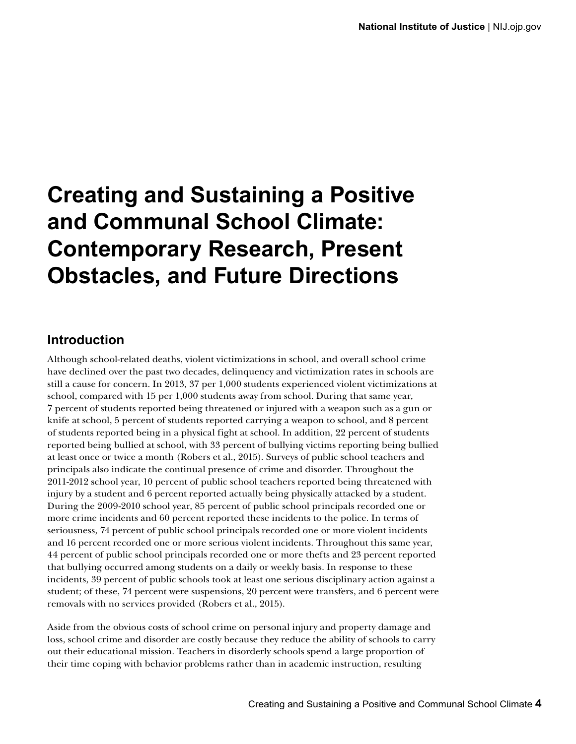# **Creating and Sustaining a Positive and Communal School Climate: Contemporary Research, Present Obstacles, and Future Directions**

### **Introduction**

Although school-related deaths, violent victimizations in school, and overall school crime have declined over the past two decades, delinquency and victimization rates in schools are still a cause for concern. In 2013, 37 per 1,000 students experienced violent victimizations at school, compared with 15 per 1,000 students away from school. During that same year, 7 percent of students reported being threatened or injured with a weapon such as a gun or knife at school, 5 percent of students reported carrying a weapon to school, and 8 percent of students reported being in a physical fight at school. In addition, 22 percent of students reported being bullied at school, with 33 percent of bullying victims reporting being bullied at least once or twice a month (Robers et al., 2015). Surveys of public school teachers and principals also indicate the continual presence of crime and disorder. Throughout the 2011-2012 school year, 10 percent of public school teachers reported being threatened with injury by a student and 6 percent reported actually being physically attacked by a student. During the 2009-2010 school year, 85 percent of public school principals recorded one or more crime incidents and 60 percent reported these incidents to the police. In terms of seriousness, 74 percent of public school principals recorded one or more violent incidents and 16 percent recorded one or more serious violent incidents. Throughout this same year, 44 percent of public school principals recorded one or more thefts and 23 percent reported that bullying occurred among students on a daily or weekly basis. In response to these incidents, 39 percent of public schools took at least one serious disciplinary action against a student; of these, 74 percent were suspensions, 20 percent were transfers, and 6 percent were removals with no services provided (Robers et al., 2015).

Aside from the obvious costs of school crime on personal injury and property damage and loss, school crime and disorder are costly because they reduce the ability of schools to carry out their educational mission. Teachers in disorderly schools spend a large proportion of their time coping with behavior problems rather than in academic instruction, resulting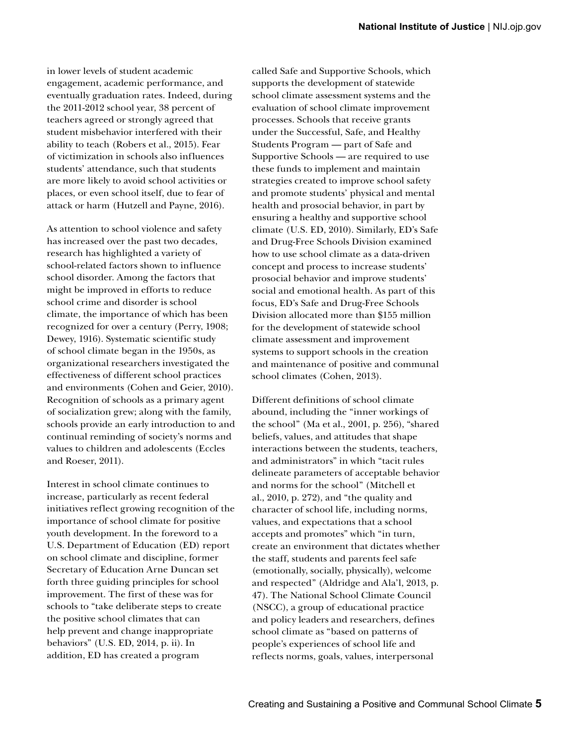in lower levels of student academic engagement, academic performance, and eventually graduation rates. Indeed, during the 2011-2012 school year, 38 percent of teachers agreed or strongly agreed that student misbehavior interfered with their ability to teach (Robers et al., 2015). Fear of victimization in schools also influences students' attendance, such that students are more likely to avoid school activities or places, or even school itself, due to fear of attack or harm (Hutzell and Payne, 2016).

As attention to school violence and safety has increased over the past two decades, research has highlighted a variety of school-related factors shown to influence school disorder. Among the factors that might be improved in efforts to reduce school crime and disorder is school climate, the importance of which has been recognized for over a century (Perry, 1908; Dewey, 1916). Systematic scientific study of school climate began in the 1950s, as organizational researchers investigated the effectiveness of different school practices and environments (Cohen and Geier, 2010). Recognition of schools as a primary agent of socialization grew; along with the family, schools provide an early introduction to and continual reminding of society's norms and values to children and adolescents (Eccles and Roeser, 2011).

Interest in school climate continues to increase, particularly as recent federal initiatives reflect growing recognition of the importance of school climate for positive youth development. In the foreword to a U.S. Department of Education (ED) report on school climate and discipline, former Secretary of Education Arne Duncan set forth three guiding principles for school improvement. The first of these was for schools to "take deliberate steps to create the positive school climates that can help prevent and change inappropriate behaviors" (U.S. ED, 2014, p. ii). In addition, ED has created a program

called Safe and Supportive Schools, which supports the development of statewide school climate assessment systems and the evaluation of school climate improvement processes. Schools that receive grants under the Successful, Safe, and Healthy Students Program — part of Safe and Supportive Schools — are required to use these funds to implement and maintain strategies created to improve school safety and promote students' physical and mental health and prosocial behavior, in part by ensuring a healthy and supportive school climate (U.S. ED, 2010). Similarly, ED's Safe and Drug-Free Schools Division examined how to use school climate as a data-driven concept and process to increase students' prosocial behavior and improve students' social and emotional health. As part of this focus, ED's Safe and Drug-Free Schools Division allocated more than \$155 million for the development of statewide school climate assessment and improvement systems to support schools in the creation and maintenance of positive and communal school climates (Cohen, 2013).

Different definitions of school climate abound, including the "inner workings of the school" (Ma et al., 2001, p. 256), "shared beliefs, values, and attitudes that shape interactions between the students, teachers, and administrators" in which "tacit rules delineate parameters of acceptable behavior and norms for the school" (Mitchell et al., 2010, p. 272), and "the quality and character of school life, including norms, values, and expectations that a school accepts and promotes" which "in turn, create an environment that dictates whether the staff, students and parents feel safe (emotionally, socially, physically), welcome and respected" (Aldridge and Ala'l, 2013, p. 47). The National School Climate Council (NSCC), a group of educational practice and policy leaders and researchers, defines school climate as "based on patterns of people's experiences of school life and reflects norms, goals, values, interpersonal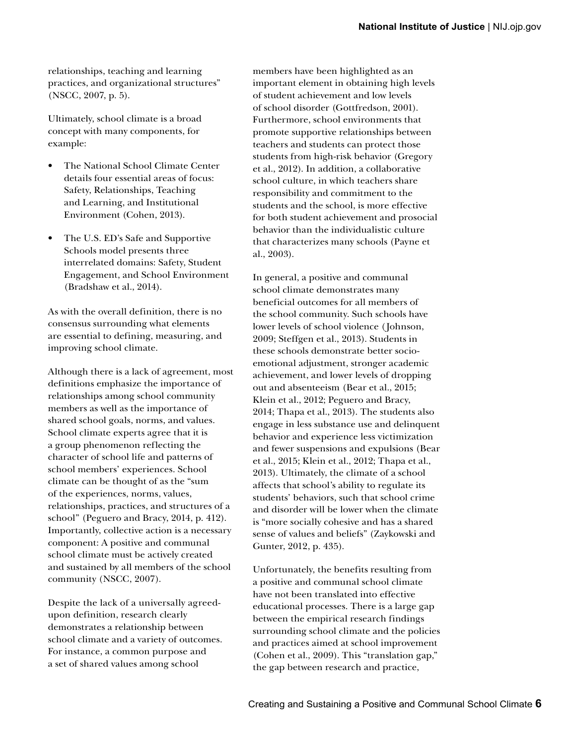relationships, teaching and learning practices, and organizational structures" (NSCC, 2007, p. 5).

Ultimately, school climate is a broad concept with many components, for example:

- The National School Climate Center details four essential areas of focus: Safety, Relationships, Teaching and Learning, and Institutional Environment (Cohen, 2013).
- The U.S. ED's Safe and Supportive Schools model presents three interrelated domains: Safety, Student Engagement, and School Environment (Bradshaw et al., 2014).

As with the overall definition, there is no consensus surrounding what elements are essential to defining, measuring, and improving school climate.

Although there is a lack of agreement, most definitions emphasize the importance of relationships among school community members as well as the importance of shared school goals, norms, and values. School climate experts agree that it is a group phenomenon reflecting the character of school life and patterns of school members' experiences. School climate can be thought of as the "sum of the experiences, norms, values, relationships, practices, and structures of a school" (Peguero and Bracy, 2014, p. 412). Importantly, collective action is a necessary component: A positive and communal school climate must be actively created and sustained by all members of the school community (NSCC, 2007).

Despite the lack of a universally agreedupon definition, research clearly demonstrates a relationship between school climate and a variety of outcomes. For instance, a common purpose and a set of shared values among school

members have been highlighted as an important element in obtaining high levels of student achievement and low levels of school disorder (Gottfredson, 2001). Furthermore, school environments that promote supportive relationships between teachers and students can protect those students from high-risk behavior (Gregory et al., 2012). In addition, a collaborative school culture, in which teachers share responsibility and commitment to the students and the school, is more effective for both student achievement and prosocial behavior than the individualistic culture that characterizes many schools (Payne et al., 2003).

In general, a positive and communal school climate demonstrates many beneficial outcomes for all members of the school community. Such schools have lower levels of school violence ( Johnson, 2009; Steffgen et al., 2013). Students in these schools demonstrate better socioemotional adjustment, stronger academic achievement, and lower levels of dropping out and absenteeism (Bear et al., 2015; Klein et al., 2012; Peguero and Bracy, 2014; Thapa et al., 2013). The students also engage in less substance use and delinquent behavior and experience less victimization and fewer suspensions and expulsions (Bear et al., 2015; Klein et al., 2012; Thapa et al., 2013). Ultimately, the climate of a school affects that school's ability to regulate its students' behaviors, such that school crime and disorder will be lower when the climate is "more socially cohesive and has a shared sense of values and beliefs" (Zaykowski and Gunter, 2012, p. 435).

Unfortunately, the benefits resulting from a positive and communal school climate have not been translated into effective educational processes. There is a large gap between the empirical research findings surrounding school climate and the policies and practices aimed at school improvement (Cohen et al., 2009). This "translation gap," the gap between research and practice,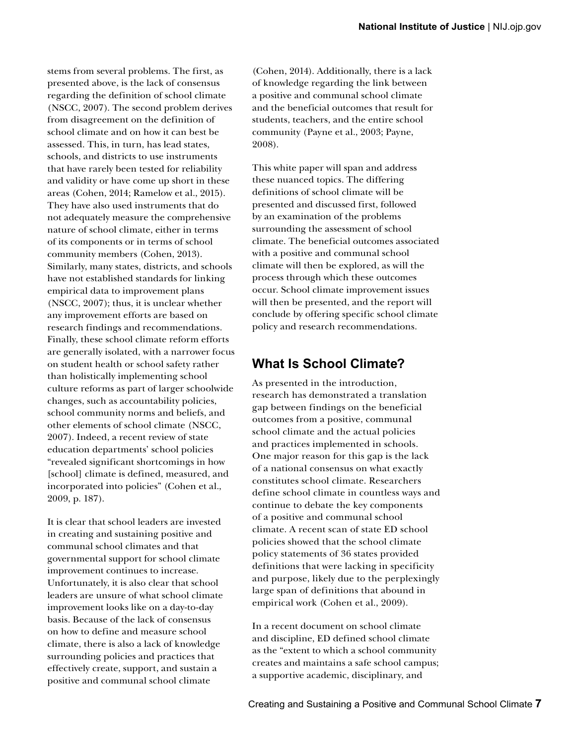stems from several problems. The first, as presented above, is the lack of consensus regarding the definition of school climate (NSCC, 2007). The second problem derives from disagreement on the definition of school climate and on how it can best be assessed. This, in turn, has lead states, schools, and districts to use instruments that have rarely been tested for reliability and validity or have come up short in these areas (Cohen, 2014; Ramelow et al., 2015). They have also used instruments that do not adequately measure the comprehensive nature of school climate, either in terms of its components or in terms of school community members (Cohen, 2013). Similarly, many states, districts, and schools have not established standards for linking empirical data to improvement plans (NSCC, 2007); thus, it is unclear whether any improvement efforts are based on research findings and recommendations. Finally, these school climate reform efforts are generally isolated, with a narrower focus on student health or school safety rather than holistically implementing school culture reforms as part of larger schoolwide changes, such as accountability policies, school community norms and beliefs, and other elements of school climate (NSCC, 2007). Indeed, a recent review of state education departments' school policies "revealed significant shortcomings in how [school] climate is defined, measured, and incorporated into policies" (Cohen et al., 2009, p. 187).

It is clear that school leaders are invested in creating and sustaining positive and communal school climates and that governmental support for school climate improvement continues to increase. Unfortunately, it is also clear that school leaders are unsure of what school climate improvement looks like on a day-to-day basis. Because of the lack of consensus on how to define and measure school climate, there is also a lack of knowledge surrounding policies and practices that effectively create, support, and sustain a positive and communal school climate

(Cohen, 2014). Additionally, there is a lack of knowledge regarding the link between a positive and communal school climate and the beneficial outcomes that result for students, teachers, and the entire school community (Payne et al., 2003; Payne, 2008).

This white paper will span and address these nuanced topics. The differing definitions of school climate will be presented and discussed first, followed by an examination of the problems surrounding the assessment of school climate. The beneficial outcomes associated with a positive and communal school climate will then be explored, as will the process through which these outcomes occur. School climate improvement issues will then be presented, and the report will conclude by offering specific school climate policy and research recommendations.

### **What Is School Climate?**

As presented in the introduction, research has demonstrated a translation gap between findings on the beneficial outcomes from a positive, communal school climate and the actual policies and practices implemented in schools. One major reason for this gap is the lack of a national consensus on what exactly constitutes school climate. Researchers define school climate in countless ways and continue to debate the key components of a positive and communal school climate. A recent scan of state ED school policies showed that the school climate policy statements of 36 states provided definitions that were lacking in specificity and purpose, likely due to the perplexingly large span of definitions that abound in empirical work (Cohen et al., 2009).

In a recent document on school climate and discipline, ED defined school climate as the "extent to which a school community creates and maintains a safe school campus; a supportive academic, disciplinary, and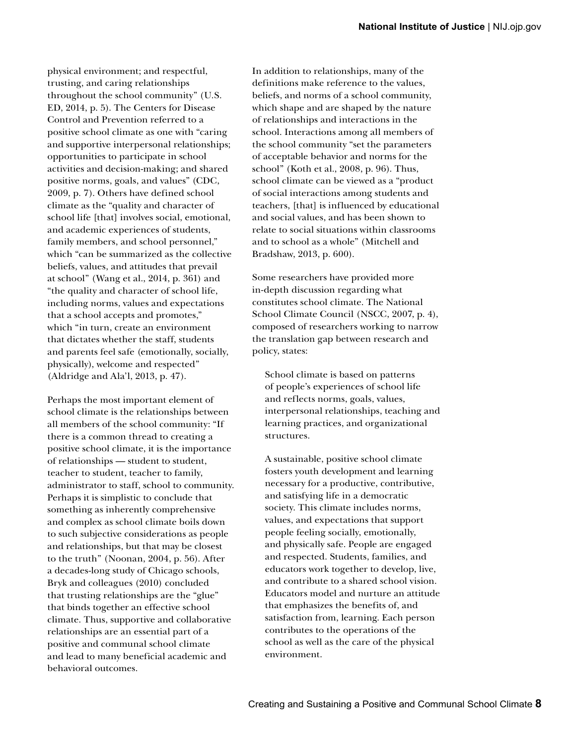physical environment; and respectful, trusting, and caring relationships throughout the school community" (U.S. ED, 2014, p. 5). The Centers for Disease Control and Prevention referred to a positive school climate as one with "caring and supportive interpersonal relationships; opportunities to participate in school activities and decision-making; and shared positive norms, goals, and values" (CDC, 2009, p. 7). Others have defined school climate as the "quality and character of school life [that] involves social, emotional, and academic experiences of students, family members, and school personnel," which "can be summarized as the collective beliefs, values, and attitudes that prevail at school" (Wang et al., 2014, p. 361) and "the quality and character of school life, including norms, values and expectations that a school accepts and promotes," which "in turn, create an environment that dictates whether the staff, students and parents feel safe (emotionally, socially, physically), welcome and respected" (Aldridge and Ala'l, 2013, p. 47).

Perhaps the most important element of school climate is the relationships between all members of the school community: "If there is a common thread to creating a positive school climate, it is the importance of relationships — student to student, teacher to student, teacher to family, administrator to staff, school to community. Perhaps it is simplistic to conclude that something as inherently comprehensive and complex as school climate boils down to such subjective considerations as people and relationships, but that may be closest to the truth" (Noonan, 2004, p. 56). After a decades-long study of Chicago schools, Bryk and colleagues (2010) concluded that trusting relationships are the "glue" that binds together an effective school climate. Thus, supportive and collaborative relationships are an essential part of a positive and communal school climate and lead to many beneficial academic and behavioral outcomes.

In addition to relationships, many of the definitions make reference to the values, beliefs, and norms of a school community, which shape and are shaped by the nature of relationships and interactions in the school. Interactions among all members of the school community "set the parameters of acceptable behavior and norms for the school" (Koth et al., 2008, p. 96). Thus, school climate can be viewed as a "product of social interactions among students and teachers, [that] is influenced by educational and social values, and has been shown to relate to social situations within classrooms and to school as a whole" (Mitchell and Bradshaw, 2013, p. 600).

Some researchers have provided more in-depth discussion regarding what constitutes school climate. The National School Climate Council (NSCC, 2007, p. 4), composed of researchers working to narrow the translation gap between research and policy, states:

School climate is based on patterns of people's experiences of school life and reflects norms, goals, values, interpersonal relationships, teaching and learning practices, and organizational structures.

A sustainable, positive school climate fosters youth development and learning necessary for a productive, contributive, and satisfying life in a democratic society. This climate includes norms, values, and expectations that support people feeling socially, emotionally, and physically safe. People are engaged and respected. Students, families, and educators work together to develop, live, and contribute to a shared school vision. Educators model and nurture an attitude that emphasizes the benefits of, and satisfaction from, learning. Each person contributes to the operations of the school as well as the care of the physical environment.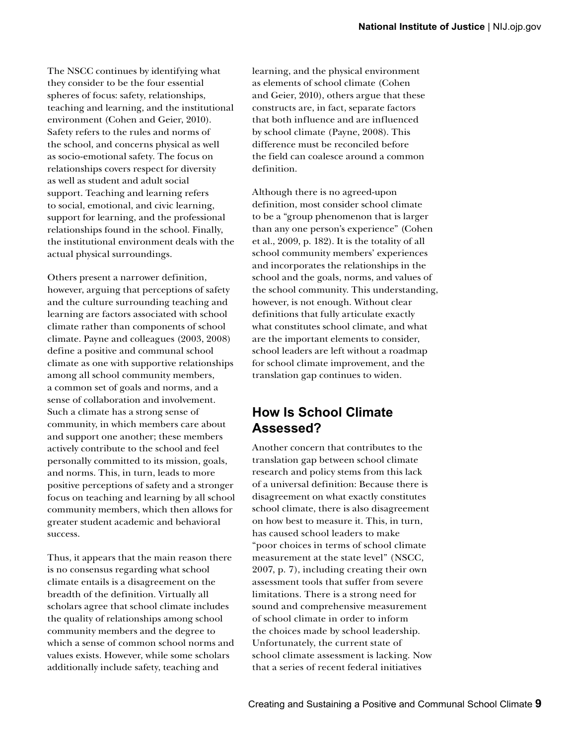The NSCC continues by identifying what they consider to be the four essential spheres of focus: safety, relationships, teaching and learning, and the institutional environment (Cohen and Geier, 2010). Safety refers to the rules and norms of the school, and concerns physical as well as socio-emotional safety. The focus on relationships covers respect for diversity as well as student and adult social support. Teaching and learning refers to social, emotional, and civic learning, support for learning, and the professional relationships found in the school. Finally, the institutional environment deals with the actual physical surroundings.

Others present a narrower definition, however, arguing that perceptions of safety and the culture surrounding teaching and learning are factors associated with school climate rather than components of school climate. Payne and colleagues (2003, 2008) define a positive and communal school climate as one with supportive relationships among all school community members, a common set of goals and norms, and a sense of collaboration and involvement. Such a climate has a strong sense of community, in which members care about and support one another; these members actively contribute to the school and feel personally committed to its mission, goals, and norms. This, in turn, leads to more positive perceptions of safety and a stronger focus on teaching and learning by all school community members, which then allows for greater student academic and behavioral success.

Thus, it appears that the main reason there is no consensus regarding what school climate entails is a disagreement on the breadth of the definition. Virtually all scholars agree that school climate includes the quality of relationships among school community members and the degree to which a sense of common school norms and values exists. However, while some scholars additionally include safety, teaching and

learning, and the physical environment as elements of school climate (Cohen and Geier, 2010), others argue that these constructs are, in fact, separate factors that both influence and are influenced by school climate (Payne, 2008). This difference must be reconciled before the field can coalesce around a common definition.

Although there is no agreed-upon definition, most consider school climate to be a "group phenomenon that is larger than any one person's experience" (Cohen et al., 2009, p. 182). It is the totality of all school community members' experiences and incorporates the relationships in the school and the goals, norms, and values of the school community. This understanding, however, is not enough. Without clear definitions that fully articulate exactly what constitutes school climate, and what are the important elements to consider, school leaders are left without a roadmap for school climate improvement, and the translation gap continues to widen.

#### **How Is School Climate Assessed?**

Another concern that contributes to the translation gap between school climate research and policy stems from this lack of a universal definition: Because there is disagreement on what exactly constitutes school climate, there is also disagreement on how best to measure it. This, in turn, has caused school leaders to make "poor choices in terms of school climate measurement at the state level" (NSCC, 2007, p. 7), including creating their own assessment tools that suffer from severe limitations. There is a strong need for sound and comprehensive measurement of school climate in order to inform the choices made by school leadership. Unfortunately, the current state of school climate assessment is lacking. Now that a series of recent federal initiatives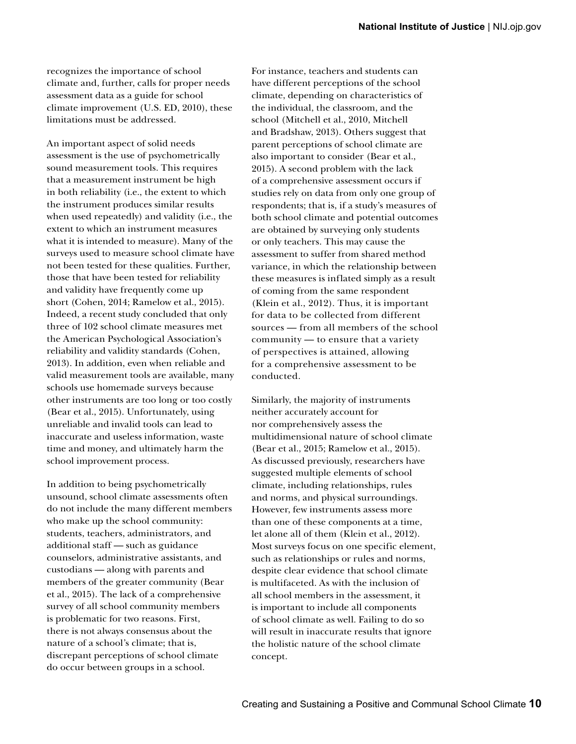recognizes the importance of school climate and, further, calls for proper needs assessment data as a guide for school climate improvement (U.S. ED, 2010), these limitations must be addressed.

An important aspect of solid needs assessment is the use of psychometrically sound measurement tools. This requires that a measurement instrument be high in both reliability (i.e., the extent to which the instrument produces similar results when used repeatedly) and validity (i.e., the extent to which an instrument measures what it is intended to measure). Many of the surveys used to measure school climate have not been tested for these qualities. Further, those that have been tested for reliability and validity have frequently come up short (Cohen, 2014; Ramelow et al., 2015). Indeed, a recent study concluded that only three of 102 school climate measures met the American Psychological Association's reliability and validity standards (Cohen, 2013). In addition, even when reliable and valid measurement tools are available, many schools use homemade surveys because other instruments are too long or too costly (Bear et al., 2015). Unfortunately, using unreliable and invalid tools can lead to inaccurate and useless information, waste time and money, and ultimately harm the school improvement process.

In addition to being psychometrically unsound, school climate assessments often do not include the many different members who make up the school community: students, teachers, administrators, and additional staff — such as guidance counselors, administrative assistants, and custodians — along with parents and members of the greater community (Bear et al., 2015). The lack of a comprehensive survey of all school community members is problematic for two reasons. First, there is not always consensus about the nature of a school's climate; that is, discrepant perceptions of school climate do occur between groups in a school.

For instance, teachers and students can have different perceptions of the school climate, depending on characteristics of the individual, the classroom, and the school (Mitchell et al., 2010, Mitchell and Bradshaw, 2013). Others suggest that parent perceptions of school climate are also important to consider (Bear et al., 2015). A second problem with the lack of a comprehensive assessment occurs if studies rely on data from only one group of respondents; that is, if a study's measures of both school climate and potential outcomes are obtained by surveying only students or only teachers. This may cause the assessment to suffer from shared method variance, in which the relationship between these measures is inflated simply as a result of coming from the same respondent (Klein et al., 2012). Thus, it is important for data to be collected from different sources — from all members of the school community — to ensure that a variety of perspectives is attained, allowing for a comprehensive assessment to be conducted.

Similarly, the majority of instruments neither accurately account for nor comprehensively assess the multidimensional nature of school climate (Bear et al., 2015; Ramelow et al., 2015). As discussed previously, researchers have suggested multiple elements of school climate, including relationships, rules and norms, and physical surroundings. However, few instruments assess more than one of these components at a time, let alone all of them (Klein et al., 2012). Most surveys focus on one specific element, such as relationships or rules and norms, despite clear evidence that school climate is multifaceted. As with the inclusion of all school members in the assessment, it is important to include all components of school climate as well. Failing to do so will result in inaccurate results that ignore the holistic nature of the school climate concept.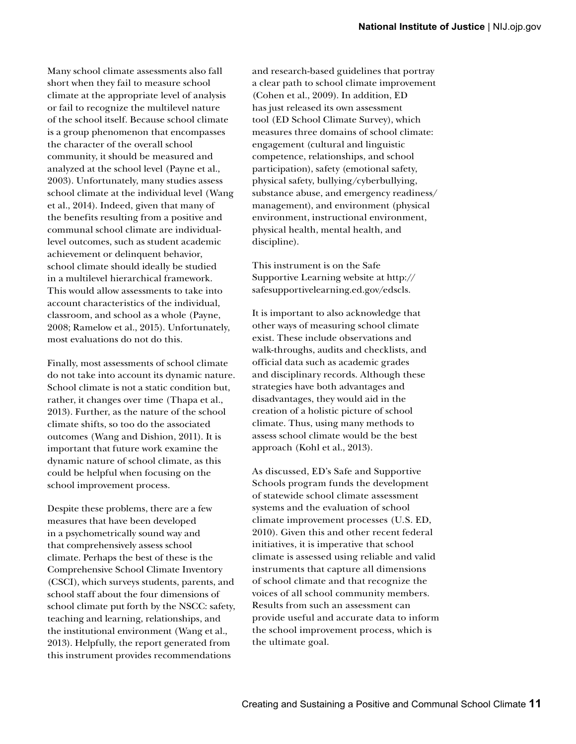Many school climate assessments also fall short when they fail to measure school climate at the appropriate level of analysis or fail to recognize the multilevel nature of the school itself. Because school climate is a group phenomenon that encompasses the character of the overall school community, it should be measured and analyzed at the school level (Payne et al., 2003). Unfortunately, many studies assess school climate at the individual level (Wang et al., 2014). Indeed, given that many of the benefits resulting from a positive and communal school climate are individuallevel outcomes, such as student academic achievement or delinquent behavior, school climate should ideally be studied in a multilevel hierarchical framework. This would allow assessments to take into account characteristics of the individual, classroom, and school as a whole (Payne, 2008; Ramelow et al., 2015). Unfortunately, most evaluations do not do this.

Finally, most assessments of school climate do not take into account its dynamic nature. School climate is not a static condition but, rather, it changes over time (Thapa et al., 2013). Further, as the nature of the school climate shifts, so too do the associated outcomes (Wang and Dishion, 2011). It is important that future work examine the dynamic nature of school climate, as this could be helpful when focusing on the school improvement process.

 2013). Helpfully, the report generated from Despite these problems, there are a few measures that have been developed in a psychometrically sound way and that comprehensively assess school climate. Perhaps the best of these is the Comprehensive School Climate Inventory (CSCI), which surveys students, parents, and school staff about the four dimensions of school climate put forth by the NSCC: safety, teaching and learning, relationships, and the institutional environment (Wang et al., this instrument provides recommendations

and research-based guidelines that portray a clear path to school climate improvement (Cohen et al., 2009). In addition, ED has just released its own assessment tool (ED School Climate Survey), which measures three domains of school climate: engagement (cultural and linguistic competence, relationships, and school participation), safety (emotional safety, physical safety, bullying/cyberbullying, substance abuse, and emergency readiness/ management), and environment (physical environment, instructional environment, physical health, mental health, and discipline).

This instrument is on the Safe Supportive Learning website at [http://](http://safesupportivelearning.ed.gov/edscls) [safesupportivelearning.ed.gov/edscls](http://safesupportivelearning.ed.gov/edscls).

It is important to also acknowledge that other ways of measuring school climate exist. These include observations and walk-throughs, audits and checklists, and official data such as academic grades and disciplinary records. Although these strategies have both advantages and disadvantages, they would aid in the creation of a holistic picture of school climate. Thus, using many methods to assess school climate would be the best approach (Kohl et al., 2013).

As discussed, ED's Safe and Supportive Schools program funds the development of statewide school climate assessment systems and the evaluation of school climate improvement processes (U.S. ED, 2010). Given this and other recent federal initiatives, it is imperative that school climate is assessed using reliable and valid instruments that capture all dimensions of school climate and that recognize the voices of all school community members. Results from such an assessment can provide useful and accurate data to inform the school improvement process, which is the ultimate goal.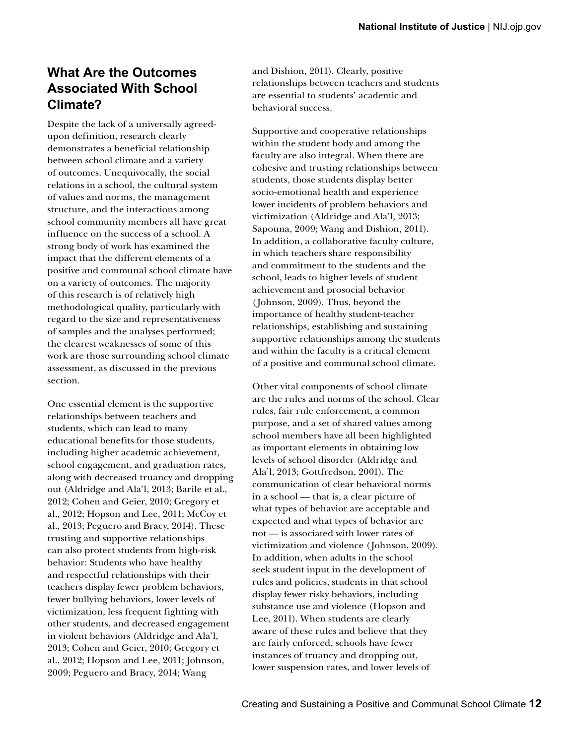### **What Are the Outcomes Associated With School Climate?**

Despite the lack of a universally agreedupon definition, research clearly demonstrates a beneficial relationship between school climate and a variety of outcomes. Unequivocally, the social relations in a school, the cultural system of values and norms, the management structure, and the interactions among school community members all have great influence on the success of a school. A strong body of work has examined the impact that the different elements of a positive and communal school climate have on a variety of outcomes. The majority of this research is of relatively high methodological quality, particularly with regard to the size and representativeness of samples and the analyses performed; the clearest weaknesses of some of this work are those surrounding school climate assessment, as discussed in the previous section.

One essential element is the supportive relationships between teachers and students, which can lead to many educational benefits for those students, including higher academic achievement, school engagement, and graduation rates, along with decreased truancy and dropping out (Aldridge and Ala'l, 2013; Barile et al., 2012; Cohen and Geier, 2010; Gregory et al., 2012; Hopson and Lee, 2011; McCoy et al., 2013; Peguero and Bracy, 2014). These trusting and supportive relationships can also protect students from high-risk behavior: Students who have healthy and respectful relationships with their teachers display fewer problem behaviors, fewer bullying behaviors, lower levels of victimization, less frequent fighting with other students, and decreased engagement in violent behaviors (Aldridge and Ala'l, 2013; Cohen and Geier, 2010; Gregory et al., 2012; Hopson and Lee, 2011; Johnson, 2009; Peguero and Bracy, 2014; Wang

and Dishion, 2011). Clearly, positive relationships between teachers and students are essential to students' academic and behavioral success.

Supportive and cooperative relationships within the student body and among the faculty are also integral. When there are cohesive and trusting relationships between students, those students display better socio-emotional health and experience lower incidents of problem behaviors and victimization (Aldridge and Ala'l, 2013; Sapouna, 2009; Wang and Dishion, 2011). In addition, a collaborative faculty culture, in which teachers share responsibility and commitment to the students and the school, leads to higher levels of student achievement and prosocial behavior ( Johnson, 2009). Thus, beyond the importance of healthy student-teacher relationships, establishing and sustaining supportive relationships among the students and within the faculty is a critical element of a positive and communal school climate.

Other vital components of school climate are the rules and norms of the school. Clear rules, fair rule enforcement, a common purpose, and a set of shared values among school members have all been highlighted as important elements in obtaining low levels of school disorder (Aldridge and Ala'l, 2013; Gottfredson, 2001). The communication of clear behavioral norms in a school — that is, a clear picture of what types of behavior are acceptable and expected and what types of behavior are not — is associated with lower rates of victimization and violence ( Johnson, 2009). In addition, when adults in the school seek student input in the development of rules and policies, students in that school display fewer risky behaviors, including substance use and violence (Hopson and Lee, 2011). When students are clearly aware of these rules and believe that they are fairly enforced, schools have fewer instances of truancy and dropping out, lower suspension rates, and lower levels of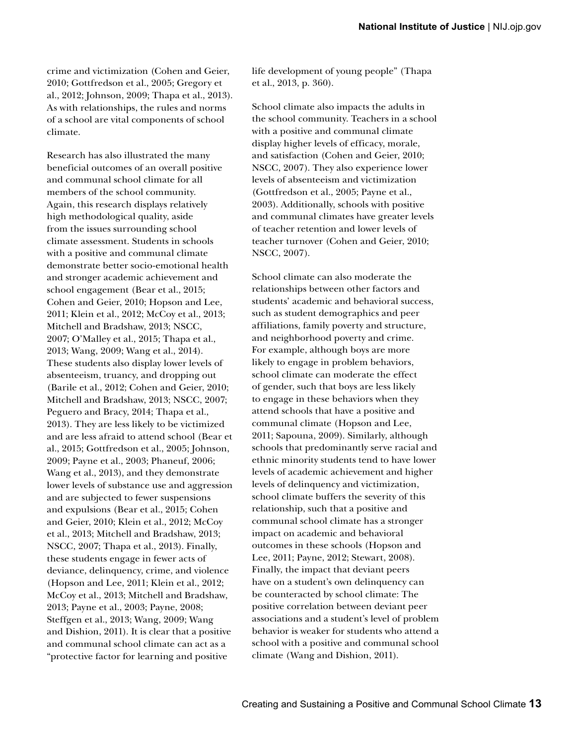crime and victimization (Cohen and Geier, 2010; Gottfredson et al., 2005; Gregory et al., 2012; Johnson, 2009; Thapa et al., 2013). As with relationships, the rules and norms of a school are vital components of school climate.

Research has also illustrated the many beneficial outcomes of an overall positive and communal school climate for all members of the school community. Again, this research displays relatively high methodological quality, aside from the issues surrounding school climate assessment. Students in schools with a positive and communal climate demonstrate better socio-emotional health and stronger academic achievement and school engagement (Bear et al., 2015; Cohen and Geier, 2010; Hopson and Lee, 2011; Klein et al., 2012; McCoy et al., 2013; Mitchell and Bradshaw, 2013; NSCC, 2007; O'Malley et al., 2015; Thapa et al., 2013; Wang, 2009; Wang et al., 2014). These students also display lower levels of absenteeism, truancy, and dropping out (Barile et al., 2012; Cohen and Geier, 2010; Mitchell and Bradshaw, 2013; NSCC, 2007; Peguero and Bracy, 2014; Thapa et al., 2013). They are less likely to be victimized and are less afraid to attend school (Bear et al., 2015; Gottfredson et al., 2005; Johnson, 2009; Payne et al., 2003; Phaneuf, 2006; Wang et al., 2013), and they demonstrate lower levels of substance use and aggression and are subjected to fewer suspensions and expulsions (Bear et al., 2015; Cohen and Geier, 2010; Klein et al., 2012; McCoy et al., 2013; Mitchell and Bradshaw, 2013; NSCC, 2007; Thapa et al., 2013). Finally, these students engage in fewer acts of deviance, delinquency, crime, and violence (Hopson and Lee, 2011; Klein et al., 2012; McCoy et al., 2013; Mitchell and Bradshaw, 2013; Payne et al., 2003; Payne, 2008; Steffgen et al., 2013; Wang, 2009; Wang and Dishion, 2011). It is clear that a positive and communal school climate can act as a "protective factor for learning and positive

life development of young people" (Thapa et al., 2013, p. 360).

School climate also impacts the adults in the school community. Teachers in a school with a positive and communal climate display higher levels of efficacy, morale, and satisfaction (Cohen and Geier, 2010; NSCC, 2007). They also experience lower levels of absenteeism and victimization (Gottfredson et al., 2005; Payne et al., 2003). Additionally, schools with positive and communal climates have greater levels of teacher retention and lower levels of teacher turnover (Cohen and Geier, 2010; NSCC, 2007).

School climate can also moderate the relationships between other factors and students' academic and behavioral success, such as student demographics and peer affiliations, family poverty and structure, and neighborhood poverty and crime. For example, although boys are more likely to engage in problem behaviors, school climate can moderate the effect of gender, such that boys are less likely to engage in these behaviors when they attend schools that have a positive and communal climate (Hopson and Lee, 2011; Sapouna, 2009). Similarly, although schools that predominantly serve racial and ethnic minority students tend to have lower levels of academic achievement and higher levels of delinquency and victimization, school climate buffers the severity of this relationship, such that a positive and communal school climate has a stronger impact on academic and behavioral outcomes in these schools (Hopson and Lee, 2011; Payne, 2012; Stewart, 2008). Finally, the impact that deviant peers have on a student's own delinquency can be counteracted by school climate: The positive correlation between deviant peer associations and a student's level of problem behavior is weaker for students who attend a school with a positive and communal school climate (Wang and Dishion, 2011).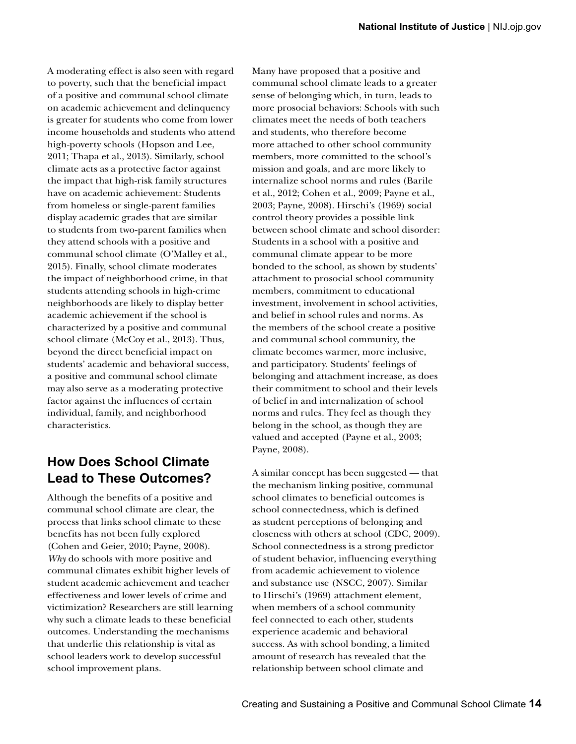A moderating effect is also seen with regard to poverty, such that the beneficial impact of a positive and communal school climate on academic achievement and delinquency is greater for students who come from lower income households and students who attend high-poverty schools (Hopson and Lee, 2011; Thapa et al., 2013). Similarly, school climate acts as a protective factor against the impact that high-risk family structures have on academic achievement: Students from homeless or single-parent families display academic grades that are similar to students from two-parent families when they attend schools with a positive and communal school climate (O'Malley et al., 2015). Finally, school climate moderates the impact of neighborhood crime, in that students attending schools in high-crime neighborhoods are likely to display better academic achievement if the school is characterized by a positive and communal school climate (McCoy et al., 2013). Thus, beyond the direct beneficial impact on students' academic and behavioral success, a positive and communal school climate may also serve as a moderating protective factor against the influences of certain individual, family, and neighborhood characteristics.

### **How Does School Climate Lead to These Outcomes?**

Although the benefits of a positive and communal school climate are clear, the process that links school climate to these benefits has not been fully explored (Cohen and Geier, 2010; Payne, 2008). *Why* do schools with more positive and communal climates exhibit higher levels of student academic achievement and teacher effectiveness and lower levels of crime and victimization? Researchers are still learning why such a climate leads to these beneficial outcomes. Understanding the mechanisms that underlie this relationship is vital as school leaders work to develop successful school improvement plans.

Many have proposed that a positive and communal school climate leads to a greater sense of belonging which, in turn, leads to more prosocial behaviors: Schools with such climates meet the needs of both teachers and students, who therefore become more attached to other school community members, more committed to the school's mission and goals, and are more likely to internalize school norms and rules (Barile et al., 2012; Cohen et al., 2009; Payne et al., 2003; Payne, 2008). Hirschi's (1969) social control theory provides a possible link between school climate and school disorder: Students in a school with a positive and communal climate appear to be more bonded to the school, as shown by students' attachment to prosocial school community members, commitment to educational investment, involvement in school activities, and belief in school rules and norms. As the members of the school create a positive and communal school community, the climate becomes warmer, more inclusive, and participatory. Students' feelings of belonging and attachment increase, as does their commitment to school and their levels of belief in and internalization of school norms and rules. They feel as though they belong in the school, as though they are valued and accepted (Payne et al., 2003; Payne, 2008).

A similar concept has been suggested — that the mechanism linking positive, communal school climates to beneficial outcomes is school connectedness, which is defined as student perceptions of belonging and closeness with others at school (CDC, 2009). School connectedness is a strong predictor of student behavior, influencing everything from academic achievement to violence and substance use (NSCC, 2007). Similar to Hirschi's (1969) attachment element, when members of a school community feel connected to each other, students experience academic and behavioral success. As with school bonding, a limited amount of research has revealed that the relationship between school climate and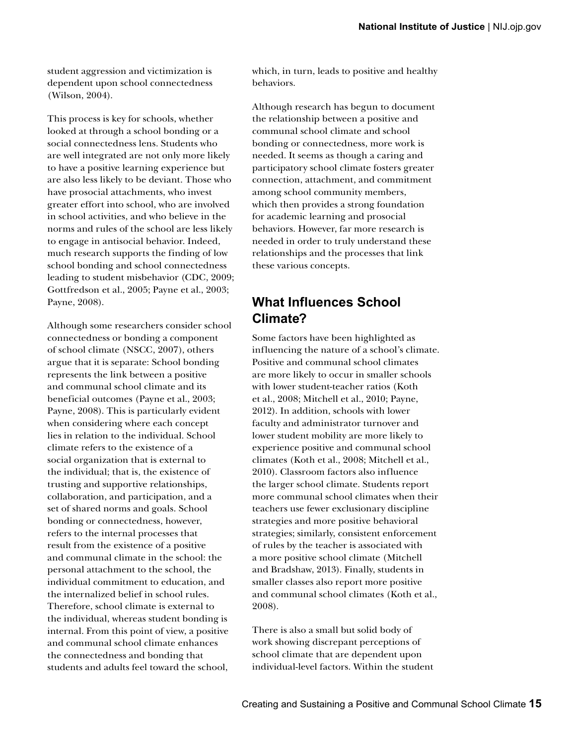student aggression and victimization is dependent upon school connectedness (Wilson, 2004).

This process is key for schools, whether looked at through a school bonding or a social connectedness lens. Students who are well integrated are not only more likely to have a positive learning experience but are also less likely to be deviant. Those who have prosocial attachments, who invest greater effort into school, who are involved in school activities, and who believe in the norms and rules of the school are less likely to engage in antisocial behavior. Indeed, much research supports the finding of low school bonding and school connectedness leading to student misbehavior (CDC, 2009; Gottfredson et al., 2005; Payne et al., 2003; Payne, 2008).

Although some researchers consider school connectedness or bonding a component of school climate (NSCC, 2007), others argue that it is separate: School bonding represents the link between a positive and communal school climate and its beneficial outcomes (Payne et al., 2003; Payne, 2008). This is particularly evident when considering where each concept lies in relation to the individual. School climate refers to the existence of a social organization that is external to the individual; that is, the existence of trusting and supportive relationships, collaboration, and participation, and a set of shared norms and goals. School bonding or connectedness, however, refers to the internal processes that result from the existence of a positive and communal climate in the school: the personal attachment to the school, the individual commitment to education, and the internalized belief in school rules. Therefore, school climate is external to the individual, whereas student bonding is internal. From this point of view, a positive and communal school climate enhances the connectedness and bonding that students and adults feel toward the school,

which, in turn, leads to positive and healthy behaviors.

Although research has begun to document the relationship between a positive and communal school climate and school bonding or connectedness, more work is needed. It seems as though a caring and participatory school climate fosters greater connection, attachment, and commitment among school community members, which then provides a strong foundation for academic learning and prosocial behaviors. However, far more research is needed in order to truly understand these relationships and the processes that link these various concepts.

#### **What Influences School Climate?**

Some factors have been highlighted as influencing the nature of a school's climate. Positive and communal school climates are more likely to occur in smaller schools with lower student-teacher ratios (Koth et al., 2008; Mitchell et al., 2010; Payne, 2012). In addition, schools with lower faculty and administrator turnover and lower student mobility are more likely to experience positive and communal school climates (Koth et al., 2008; Mitchell et al., 2010). Classroom factors also influence the larger school climate. Students report more communal school climates when their teachers use fewer exclusionary discipline strategies and more positive behavioral strategies; similarly, consistent enforcement of rules by the teacher is associated with a more positive school climate (Mitchell and Bradshaw, 2013). Finally, students in smaller classes also report more positive and communal school climates (Koth et al., 2008).

There is also a small but solid body of work showing discrepant perceptions of school climate that are dependent upon individual-level factors. Within the student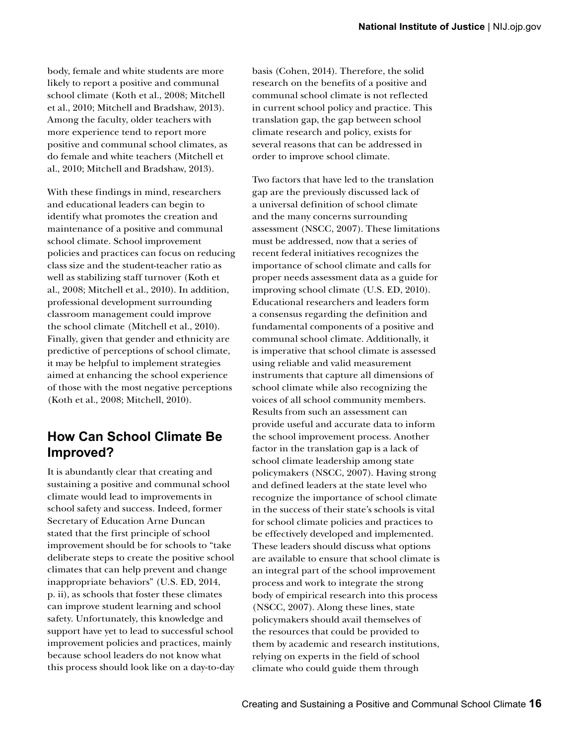body, female and white students are more likely to report a positive and communal school climate (Koth et al., 2008; Mitchell et al., 2010; Mitchell and Bradshaw, 2013). Among the faculty, older teachers with more experience tend to report more positive and communal school climates, as do female and white teachers (Mitchell et al., 2010; Mitchell and Bradshaw, 2013).

With these findings in mind, researchers and educational leaders can begin to identify what promotes the creation and maintenance of a positive and communal school climate. School improvement policies and practices can focus on reducing class size and the student-teacher ratio as well as stabilizing staff turnover (Koth et al., 2008; Mitchell et al., 2010). In addition, professional development surrounding classroom management could improve the school climate (Mitchell et al., 2010). Finally, given that gender and ethnicity are predictive of perceptions of school climate, it may be helpful to implement strategies aimed at enhancing the school experience of those with the most negative perceptions (Koth et al., 2008; Mitchell, 2010).

### **How Can School Climate Be Improved?**

It is abundantly clear that creating and sustaining a positive and communal school climate would lead to improvements in school safety and success. Indeed, former Secretary of Education Arne Duncan stated that the first principle of school improvement should be for schools to "take deliberate steps to create the positive school climates that can help prevent and change inappropriate behaviors" (U.S. ED, 2014, p. ii), as schools that foster these climates can improve student learning and school safety. Unfortunately, this knowledge and support have yet to lead to successful school improvement policies and practices, mainly because school leaders do not know what this process should look like on a day-to-day basis (Cohen, 2014). Therefore, the solid research on the benefits of a positive and communal school climate is not reflected in current school policy and practice. This translation gap, the gap between school climate research and policy, exists for several reasons that can be addressed in order to improve school climate.

Two factors that have led to the translation gap are the previously discussed lack of a universal definition of school climate and the many concerns surrounding assessment (NSCC, 2007). These limitations must be addressed, now that a series of recent federal initiatives recognizes the importance of school climate and calls for proper needs assessment data as a guide for improving school climate (U.S. ED, 2010). Educational researchers and leaders form a consensus regarding the definition and fundamental components of a positive and communal school climate. Additionally, it is imperative that school climate is assessed using reliable and valid measurement instruments that capture all dimensions of school climate while also recognizing the voices of all school community members. Results from such an assessment can provide useful and accurate data to inform the school improvement process. Another factor in the translation gap is a lack of school climate leadership among state policymakers (NSCC, 2007). Having strong and defined leaders at the state level who recognize the importance of school climate in the success of their state's schools is vital for school climate policies and practices to be effectively developed and implemented. These leaders should discuss what options are available to ensure that school climate is an integral part of the school improvement process and work to integrate the strong body of empirical research into this process (NSCC, 2007). Along these lines, state policymakers should avail themselves of the resources that could be provided to them by academic and research institutions, relying on experts in the field of school climate who could guide them through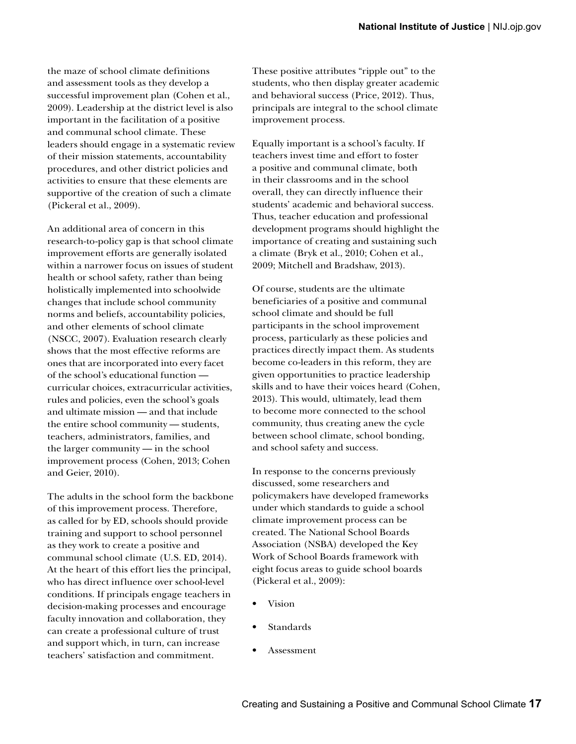the maze of school climate definitions and assessment tools as they develop a successful improvement plan (Cohen et al., 2009). Leadership at the district level is also important in the facilitation of a positive and communal school climate. These leaders should engage in a systematic review of their mission statements, accountability procedures, and other district policies and activities to ensure that these elements are supportive of the creation of such a climate (Pickeral et al., 2009).

An additional area of concern in this research-to-policy gap is that school climate improvement efforts are generally isolated within a narrower focus on issues of student health or school safety, rather than being holistically implemented into schoolwide changes that include school community norms and beliefs, accountability policies, and other elements of school climate (NSCC, 2007). Evaluation research clearly shows that the most effective reforms are ones that are incorporated into every facet of the school's educational function curricular choices, extracurricular activities, rules and policies, even the school's goals and ultimate mission — and that include the entire school community — students, teachers, administrators, families, and the larger community — in the school improvement process (Cohen, 2013; Cohen and Geier, 2010).

The adults in the school form the backbone of this improvement process. Therefore, as called for by ED, schools should provide training and support to school personnel as they work to create a positive and communal school climate (U.S. ED, 2014). At the heart of this effort lies the principal, who has direct influence over school-level conditions. If principals engage teachers in decision-making processes and encourage faculty innovation and collaboration, they can create a professional culture of trust and support which, in turn, can increase teachers' satisfaction and commitment.

These positive attributes "ripple out" to the students, who then display greater academic and behavioral success (Price, 2012). Thus, principals are integral to the school climate improvement process.

Equally important is a school's faculty. If teachers invest time and effort to foster a positive and communal climate, both in their classrooms and in the school overall, they can directly influence their students' academic and behavioral success. Thus, teacher education and professional development programs should highlight the importance of creating and sustaining such a climate (Bryk et al., 2010; Cohen et al., 2009; Mitchell and Bradshaw, 2013).

Of course, students are the ultimate beneficiaries of a positive and communal school climate and should be full participants in the school improvement process, particularly as these policies and practices directly impact them. As students become co-leaders in this reform, they are given opportunities to practice leadership skills and to have their voices heard (Cohen, 2013). This would, ultimately, lead them to become more connected to the school community, thus creating anew the cycle between school climate, school bonding, and school safety and success.

In response to the concerns previously discussed, some researchers and policymakers have developed frameworks under which standards to guide a school climate improvement process can be created. The National School Boards Association (NSBA) developed the Key Work of School Boards framework with eight focus areas to guide school boards (Pickeral et al., 2009):

- Vision
- **Standards**
- Assessment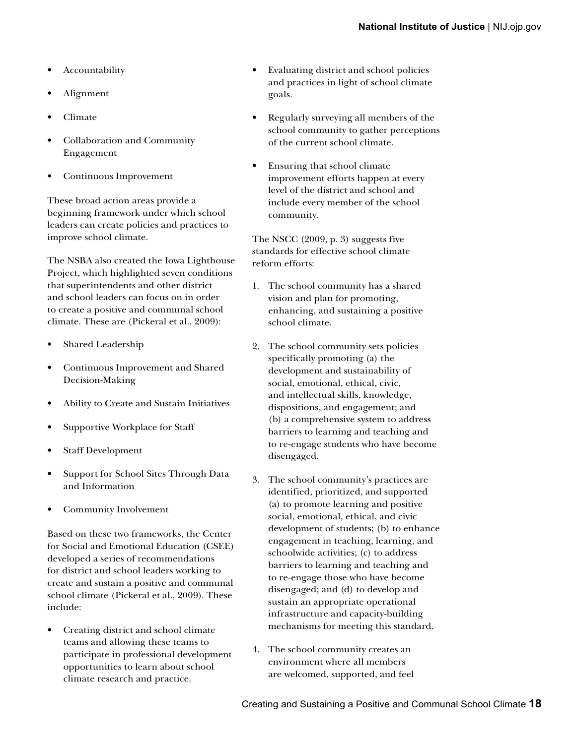- **Accountability**
- Alignment
- Climate
- Collaboration and Community Engagement
- Continuous Improvement

These broad action areas provide a beginning framework under which school leaders can create policies and practices to improve school climate.

The NSBA also created the Iowa Lighthouse Project, which highlighted seven conditions that superintendents and other district and school leaders can focus on in order to create a positive and communal school climate. These are (Pickeral et al., 2009):

- Shared Leadership
- Continuous Improvement and Shared Decision-Making
- Ability to Create and Sustain Initiatives
- Supportive Workplace for Staff
- Staff Development
- Support for School Sites Through Data and Information
- Community Involvement

Based on these two frameworks, the Center for Social and Emotional Education (CSEE) developed a series of recommendations for district and school leaders working to create and sustain a positive and communal school climate (Pickeral et al., 2009). These include:

• Creating district and school climate teams and allowing these teams to participate in professional development opportunities to learn about school climate research and practice.

- Evaluating district and school policies and practices in light of school climate goals.
- Regularly surveying all members of the school community to gather perceptions of the current school climate.
- Ensuring that school climate improvement efforts happen at every level of the district and school and include every member of the school community.

The NSCC (2009, p. 3) suggests five standards for effective school climate reform efforts:

- 1. The school community has a shared vision and plan for promoting, enhancing, and sustaining a positive school climate.
- 2. The school community sets policies specifically promoting (a) the development and sustainability of social, emotional, ethical, civic, and intellectual skills, knowledge, dispositions, and engagement; and (b) a comprehensive system to address barriers to learning and teaching and to re-engage students who have become disengaged.
- 3. The school community's practices are identified, prioritized, and supported (a) to promote learning and positive social, emotional, ethical, and civic development of students; (b) to enhance engagement in teaching, learning, and schoolwide activities; (c) to address barriers to learning and teaching and to re-engage those who have become disengaged; and (d) to develop and sustain an appropriate operational infrastructure and capacity-building mechanisms for meeting this standard.
- 4. The school community creates an environment where all members are welcomed, supported, and feel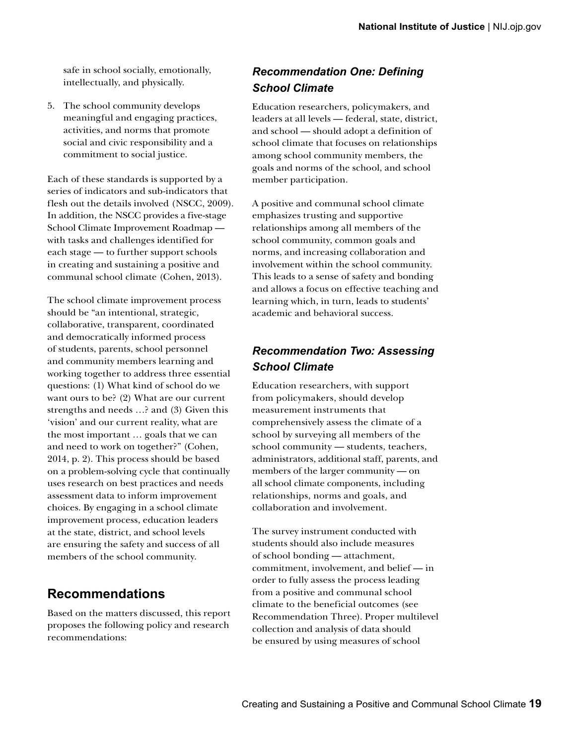safe in school socially, emotionally, intellectually, and physically.

5. The school community develops meaningful and engaging practices, activities, and norms that promote social and civic responsibility and a commitment to social justice.

Each of these standards is supported by a series of indicators and sub-indicators that flesh out the details involved (NSCC, 2009). In addition, the NSCC provides a five-stage School Climate Improvement Roadmap with tasks and challenges identified for each stage — to further support schools in creating and sustaining a positive and communal school climate (Cohen, 2013).

The school climate improvement process should be "an intentional, strategic, collaborative, transparent, coordinated and democratically informed process of students, parents, school personnel and community members learning and working together to address three essential questions: (1) What kind of school do we want ours to be? (2) What are our current strengths and needs …? and (3) Given this 'vision' and our current reality, what are the most important … goals that we can and need to work on together?" (Cohen, 2014, p. 2). This process should be based on a problem-solving cycle that continually uses research on best practices and needs assessment data to inform improvement choices. By engaging in a school climate improvement process, education leaders at the state, district, and school levels are ensuring the safety and success of all members of the school community.

#### **Recommendations**

Based on the matters discussed, this report proposes the following policy and research recommendations:

#### *Recommendation One: Defining School Climate*

Education researchers, policymakers, and leaders at all levels — federal, state, district, and school — should adopt a definition of school climate that focuses on relationships among school community members, the goals and norms of the school, and school member participation.

A positive and communal school climate emphasizes trusting and supportive relationships among all members of the school community, common goals and norms, and increasing collaboration and involvement within the school community. This leads to a sense of safety and bonding and allows a focus on effective teaching and learning which, in turn, leads to students' academic and behavioral success.

#### *Recommendation Two: Assessing School Climate*

Education researchers, with support from policymakers, should develop measurement instruments that comprehensively assess the climate of a school by surveying all members of the school community — students, teachers, administrators, additional staff, parents, and members of the larger community — on all school climate components, including relationships, norms and goals, and collaboration and involvement.

The survey instrument conducted with students should also include measures of school bonding — attachment, commitment, involvement, and belief — in order to fully assess the process leading from a positive and communal school climate to the beneficial outcomes (see Recommendation Three). Proper multilevel collection and analysis of data should be ensured by using measures of school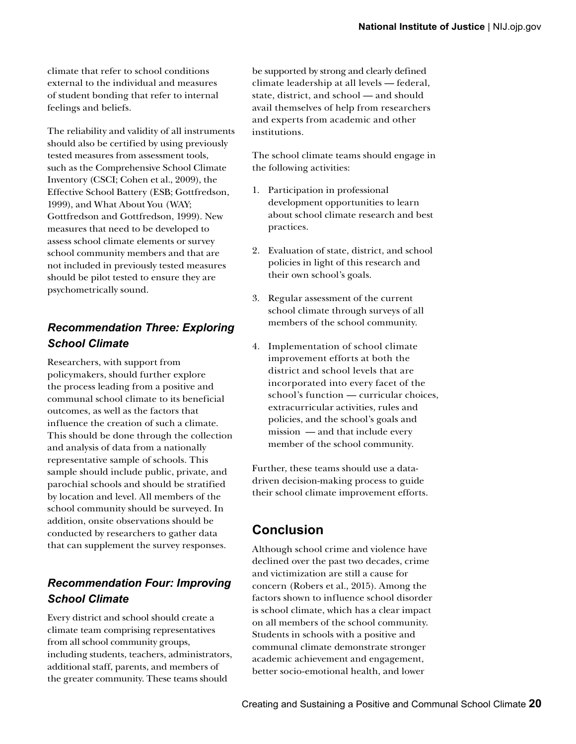climate that refer to school conditions external to the individual and measures of student bonding that refer to internal feelings and beliefs.

The reliability and validity of all instruments should also be certified by using previously tested measures from assessment tools, such as the Comprehensive School Climate Inventory (CSCI; Cohen et al., 2009), the Effective School Battery (ESB; Gottfredson, 1999), and What About You (WAY; Gottfredson and Gottfredson, 1999). New measures that need to be developed to assess school climate elements or survey school community members and that are not included in previously tested measures should be pilot tested to ensure they are psychometrically sound.

#### *Recommendation Three: Exploring School Climate*

Researchers, with support from policymakers, should further explore the process leading from a positive and communal school climate to its beneficial outcomes, as well as the factors that influence the creation of such a climate. This should be done through the collection and analysis of data from a nationally representative sample of schools. This sample should include public, private, and parochial schools and should be stratified by location and level. All members of the school community should be surveyed. In addition, onsite observations should be conducted by researchers to gather data that can supplement the survey responses.

### *Recommendation Four: Improving School Climate*

 the greater community. These teams should Every district and school should create a climate team comprising representatives from all school community groups, including students, teachers, administrators, additional staff, parents, and members of

be supported by strong and clearly defined climate leadership at all levels — federal, state, district, and school — and should avail themselves of help from researchers and experts from academic and other institutions.

The school climate teams should engage in the following activities:

- 1. Participation in professional development opportunities to learn about school climate research and best practices.
- 2. Evaluation of state, district, and school policies in light of this research and their own school's goals.
- 3. Regular assessment of the current school climate through surveys of all members of the school community.
- school's function curricular choices, 4. Implementation of school climate improvement efforts at both the district and school levels that are incorporated into every facet of the extracurricular activities, rules and policies, and the school's goals and mission — and that include every member of the school community.

Further, these teams should use a datadriven decision-making process to guide their school climate improvement efforts.

### **Conclusion**

Although school crime and violence have declined over the past two decades, crime and victimization are still a cause for concern (Robers et al., 2015). Among the factors shown to influence school disorder is school climate, which has a clear impact on all members of the school community. Students in schools with a positive and communal climate demonstrate stronger academic achievement and engagement, better socio-emotional health, and lower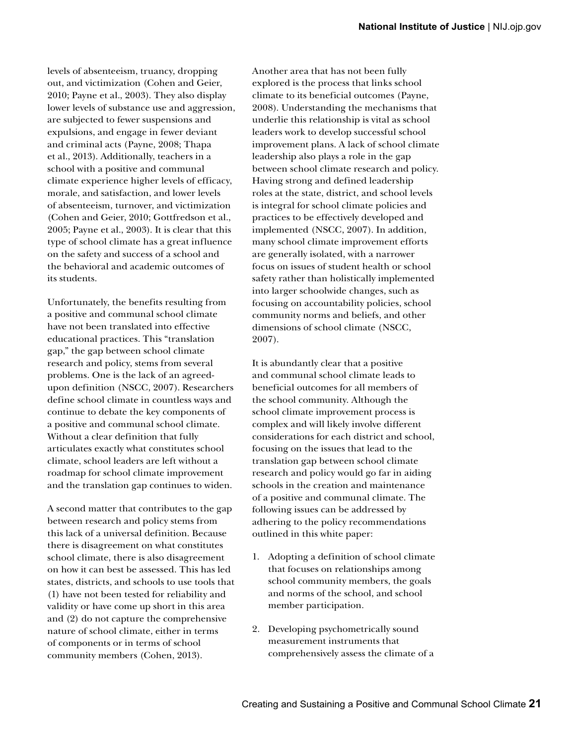levels of absenteeism, truancy, dropping out, and victimization (Cohen and Geier, 2010; Payne et al., 2003). They also display lower levels of substance use and aggression, are subjected to fewer suspensions and expulsions, and engage in fewer deviant and criminal acts (Payne, 2008; Thapa et al., 2013). Additionally, teachers in a school with a positive and communal climate experience higher levels of efficacy, morale, and satisfaction, and lower levels of absenteeism, turnover, and victimization (Cohen and Geier, 2010; Gottfredson et al., 2005; Payne et al., 2003). It is clear that this type of school climate has a great influence on the safety and success of a school and the behavioral and academic outcomes of its students.

Unfortunately, the benefits resulting from a positive and communal school climate have not been translated into effective educational practices. This "translation gap," the gap between school climate research and policy, stems from several problems. One is the lack of an agreedupon definition (NSCC, 2007). Researchers define school climate in countless ways and continue to debate the key components of a positive and communal school climate. Without a clear definition that fully articulates exactly what constitutes school climate, school leaders are left without a roadmap for school climate improvement and the translation gap continues to widen.

A second matter that contributes to the gap between research and policy stems from this lack of a universal definition. Because there is disagreement on what constitutes school climate, there is also disagreement on how it can best be assessed. This has led states, districts, and schools to use tools that (1) have not been tested for reliability and validity or have come up short in this area and (2) do not capture the comprehensive nature of school climate, either in terms of components or in terms of school community members (Cohen, 2013).

Another area that has not been fully explored is the process that links school climate to its beneficial outcomes (Payne, 2008). Understanding the mechanisms that underlie this relationship is vital as school leaders work to develop successful school improvement plans. A lack of school climate leadership also plays a role in the gap between school climate research and policy. Having strong and defined leadership roles at the state, district, and school levels is integral for school climate policies and practices to be effectively developed and implemented (NSCC, 2007). In addition, many school climate improvement efforts are generally isolated, with a narrower focus on issues of student health or school safety rather than holistically implemented into larger schoolwide changes, such as focusing on accountability policies, school community norms and beliefs, and other dimensions of school climate (NSCC, 2007).

It is abundantly clear that a positive and communal school climate leads to beneficial outcomes for all members of the school community. Although the school climate improvement process is complex and will likely involve different considerations for each district and school, focusing on the issues that lead to the translation gap between school climate research and policy would go far in aiding schools in the creation and maintenance of a positive and communal climate. The following issues can be addressed by adhering to the policy recommendations outlined in this white paper:

- 1. Adopting a definition of school climate that focuses on relationships among school community members, the goals and norms of the school, and school member participation.
- 2. Developing psychometrically sound measurement instruments that comprehensively assess the climate of a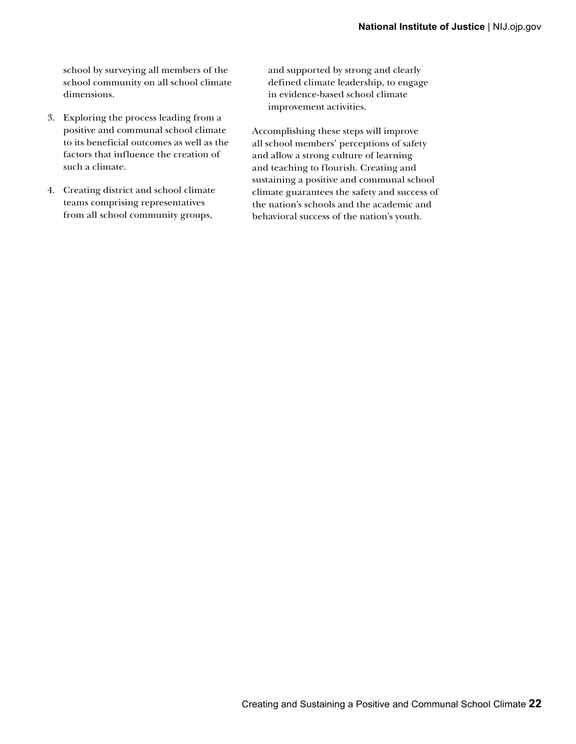school by surveying all members of the school community on all school climate dimensions.

- 3. Exploring the process leading from a positive and communal school climate to its beneficial outcomes as well as the factors that influence the creation of such a climate.
- 4. Creating district and school climate teams comprising representatives from all school community groups,

and supported by strong and clearly defined climate leadership, to engage in evidence-based school climate improvement activities.

Accomplishing these steps will improve all school members' perceptions of safety and allow a strong culture of learning and teaching to flourish. Creating and sustaining a positive and communal school climate guarantees the safety and success of the nation's schools and the academic and behavioral success of the nation's youth.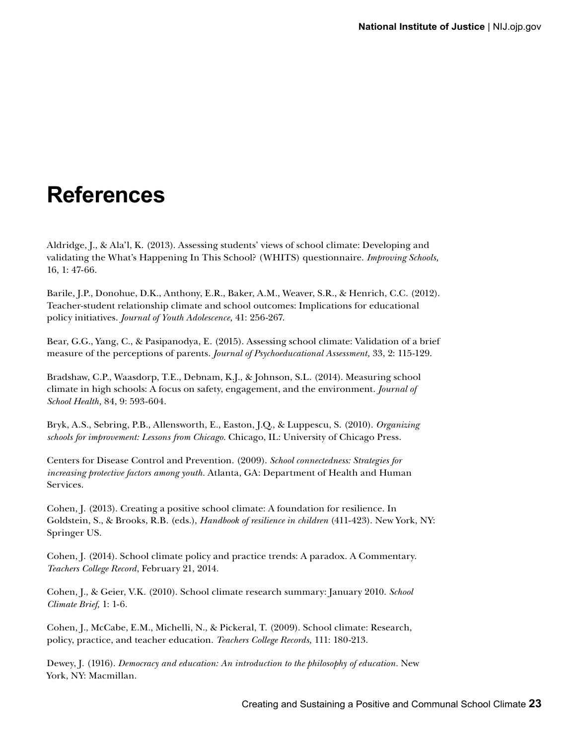## **References**

Aldridge, J., & Ala'l, K. (2013). Assessing students' views of school climate: Developing and validating the What's Happening In This School? (WHITS) questionnaire. *Improving Schools,*  16, 1: 47-66.

Barile, J.P., Donohue, D.K., Anthony, E.R., Baker, A.M., Weaver, S.R., & Henrich, C.C. (2012). Teacher-student relationship climate and school outcomes: Implications for educational policy initiatives. *Journal of Youth Adolescence,* 41: 256-267.

Bear, G.G., Yang, C., & Pasipanodya, E. (2015). Assessing school climate: Validation of a brief measure of the perceptions of parents. *Journal of Psychoeducational Assessment,* 33, 2: 115-129.

Bradshaw, C.P., Waasdorp, T.E., Debnam, K.J., & Johnson, S.L. (2014). Measuring school climate in high schools: A focus on safety, engagement, and the environment. *Journal of School Health,* 84, 9: 593-604.

Bryk, A.S., Sebring, P.B., Allensworth, E., Easton, J.Q., & Luppescu, S. (2010). *Organizing schools for improvement: Lessons from Chicago.* Chicago, IL: University of Chicago Press.

Centers for Disease Control and Prevention. (2009). *School connectedness: Strategies for increasing protective factors among youth.* Atlanta, GA: Department of Health and Human Services.

Cohen, J. (2013). Creating a positive school climate: A foundation for resilience. In Goldstein, S., & Brooks, R.B. (eds.), *Handbook of resilience in children* (411-423). New York, NY: Springer US.

Cohen, J. (2014). School climate policy and practice trends: A paradox. A Commentary. *Teachers College Record*, February 21, 2014.

Cohen, J., & Geier, V.K. (2010). School climate research summary: January 2010. *School Climate Brief,* 1: 1-6.

Cohen, J., McCabe, E.M., Michelli, N., & Pickeral, T. (2009). School climate: Research, policy, practice, and teacher education. *Teachers College Records,* 111: 180-213.

Dewey, J. (1916). *Democracy and education: An introduction to the philosophy of education.* New York, NY: Macmillan.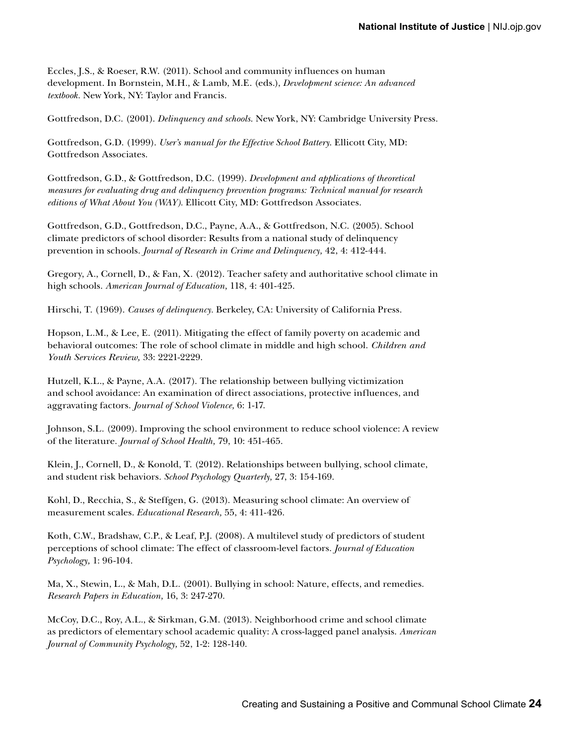Eccles, J.S., & Roeser, R.W. (2011). School and community influences on human development. In Bornstein, M.H., & Lamb, M.E. (eds.), *Development science: An advanced textbook.* New York, NY: Taylor and Francis.

Gottfredson, D.C. (2001). *Delinquency and schools*. New York, NY: Cambridge University Press.

Gottfredson, G.D. (1999). *User's manual for the Effective School Battery*. Ellicott City, MD: Gottfredson Associates.

Gottfredson, G.D., & Gottfredson, D.C. (1999). *Development and applications of theoretical measures for evaluating drug and delinquency prevention programs: Technical manual for research editions of What About You (WAY).* Ellicott City, MD: Gottfredson Associates.

Gottfredson, G.D., Gottfredson, D.C., Payne, A.A., & Gottfredson, N.C. (2005). School climate predictors of school disorder: Results from a national study of delinquency prevention in schools. *Journal of Research in Crime and Delinquency,* 42, 4: 412-444.

Gregory, A., Cornell, D., & Fan, X. (2012). Teacher safety and authoritative school climate in high schools. *American Journal of Education,* 118, 4: 401-425.

Hirschi, T. (1969). *Causes of delinquency.* Berkeley, CA: University of California Press.

Hopson, L.M., & Lee, E. (2011). Mitigating the effect of family poverty on academic and behavioral outcomes: The role of school climate in middle and high school. *Children and Youth Services Review,* 33: 2221-2229.

Hutzell, K.L., & Payne, A.A. (2017). The relationship between bullying victimization and school avoidance: An examination of direct associations, protective influences, and aggravating factors. *Journal of School Violence,* 6: 1-17.

Johnson, S.L. (2009). Improving the school environment to reduce school violence: A review of the literature. *Journal of School Health,* 79, 10: 451-465.

Klein, J., Cornell, D., & Konold, T. (2012). Relationships between bullying, school climate, and student risk behaviors. *School Psychology Quarterly,* 27, 3: 154-169.

Kohl, D., Recchia, S., & Steffgen, G. (2013). Measuring school climate: An overview of measurement scales. *Educational Research,* 55, 4: 411-426.

Koth, C.W., Bradshaw, C.P., & Leaf, P.J. (2008). A multilevel study of predictors of student perceptions of school climate: The effect of classroom-level factors. *Journal of Education Psychology,* 1: 96-104.

Ma, X., Stewin, L., & Mah, D.L. (2001). Bullying in school: Nature, effects, and remedies. *Research Papers in Education,* 16, 3: 247-270.

McCoy, D.C., Roy, A.L., & Sirkman, G.M. (2013). Neighborhood crime and school climate as predictors of elementary school academic quality: A cross-lagged panel analysis. *American Journal of Community Psychology,* 52, 1-2: 128-140.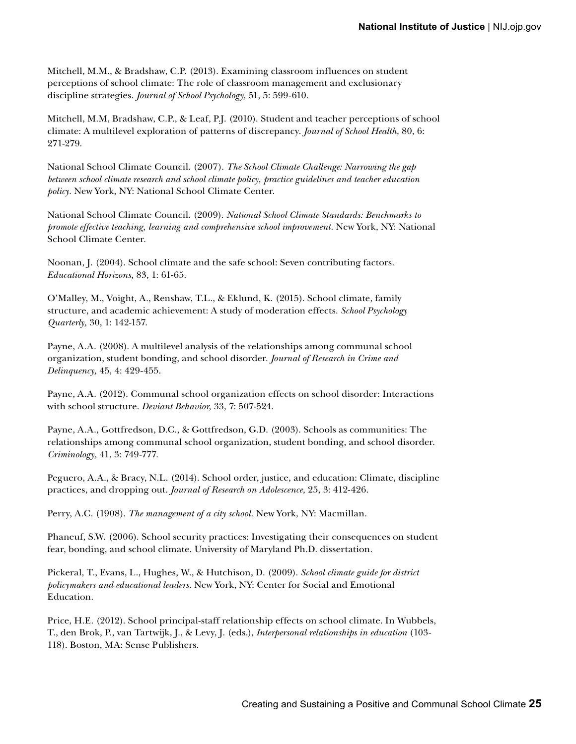Mitchell, M.M., & Bradshaw, C.P. (2013). Examining classroom influences on student perceptions of school climate: The role of classroom management and exclusionary discipline strategies. *Journal of School Psychology,* 51, 5: 599-610.

Mitchell, M.M, Bradshaw, C.P., & Leaf, P.J. (2010). Student and teacher perceptions of school climate: A multilevel exploration of patterns of discrepancy. *Journal of School Health,* 80, 6: 271-279.

National School Climate Council. (2007). *The School Climate Challenge: Narrowing the gap between school climate research and school climate policy, practice guidelines and teacher education policy.* New York, NY: National School Climate Center.

National School Climate Council. (2009). *National School Climate Standards: Benchmarks to promote effective teaching, learning and comprehensive school improvement.* New York, NY: National School Climate Center.

Noonan, J. (2004). School climate and the safe school: Seven contributing factors. *Educational Horizons,* 83, 1: 61-65.

O'Malley, M., Voight, A., Renshaw, T.L., & Eklund, K. (2015). School climate, family structure, and academic achievement: A study of moderation effects. *School Psychology Quarterly,* 30, 1: 142-157.

Payne, A.A. (2008). A multilevel analysis of the relationships among communal school organization, student bonding, and school disorder. *Journal of Research in Crime and Delinquency,* 45, 4: 429-455.

Payne, A.A. (2012). Communal school organization effects on school disorder: Interactions with school structure. *Deviant Behavior,* 33, 7: 507-524.

Payne, A.A., Gottfredson, D.C., & Gottfredson, G.D. (2003). Schools as communities: The relationships among communal school organization, student bonding, and school disorder. *Criminology,* 41, 3: 749-777.

Peguero, A.A., & Bracy, N.L. (2014). School order, justice, and education: Climate, discipline practices, and dropping out. *Journal of Research on Adolescence,* 25, 3: 412-426.

Perry, A.C. (1908). *The management of a city school*. New York, NY: Macmillan.

Phaneuf, S.W. (2006). School security practices: Investigating their consequences on student fear, bonding, and school climate. University of Maryland Ph.D. dissertation.

Pickeral, T., Evans, L., Hughes, W., & Hutchison, D. (2009). *School climate guide for district policymakers and educational leaders.* New York, NY: Center for Social and Emotional Education.

Price, H.E. (2012). School principal-staff relationship effects on school climate. In Wubbels, T., den Brok, P., van Tartwijk, J., & Levy, J. (eds.), *Interpersonal relationships in education* (103- 118). Boston, MA: Sense Publishers.